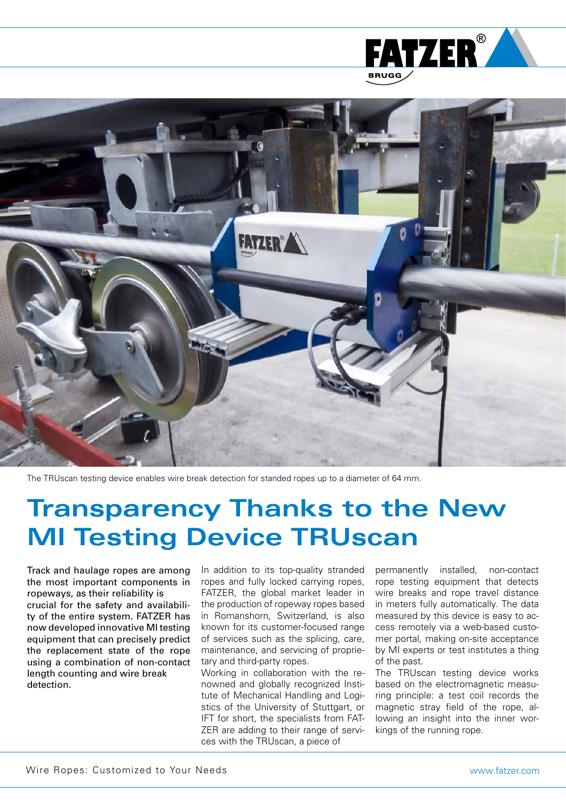



The TRUscan testing device enables wire break detection for standed ropes up to a diameter of 64 mm.

## **Transparency Thanks to the New MI Testing Device TRUscan**

Track and haulage ropes are among the most important components in ropeways, as their reliability is crucial for the safety and availability of the entire system. FATZER has now developed innovative MI testing equipment that can precisely predict the replacement state of the rope using a combination of non-contact length counting and wire break detection.

In addition to its top-quality stranded ropes and fully locked carrying ropes, FATZER, the global market leader in the production of ropeway ropes based in Romanshorn, Switzerland, is also known for its customer-focused range of services such as the splicing, care, maintenance, and servicing of proprietary and third-party ropes.

Working in collaboration with the renowned and globally recognized Institute of Mechanical Handling and Logistics of the University of Stuttgart, or IFT for short, the specialists from FAT-ZER are adding to their range of services with the TRUscan, a piece of

permanently installed, non-contact rope testing equipment that detects wire breaks and rope travel distance in meters fully automatically. The data measured by this device is easy to access remotely via a web-based customer portal, making on-site acceptance by MI experts or test institutes a thing of the past.

The TRUscan testing device works based on the electromagnetic measuring principle: a test coil records the magnetic stray field of the rope, allowing an insight into the inner workings of the running rope.